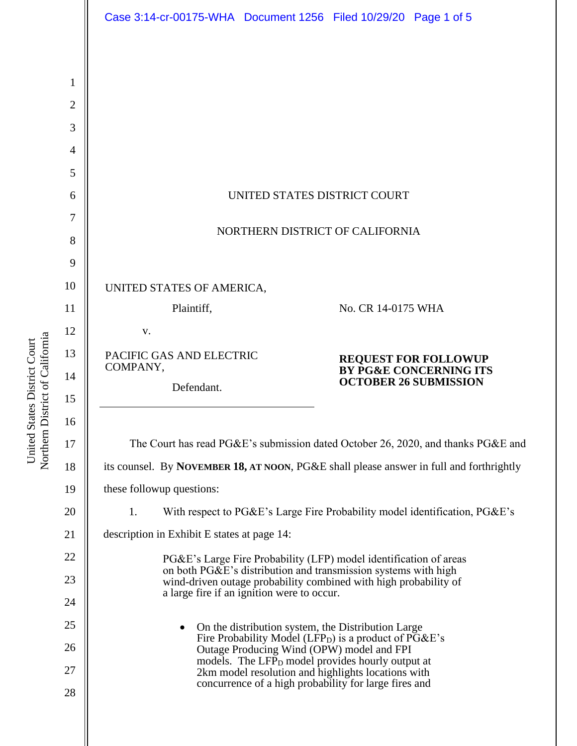|                | Case 3:14-cr-00175-WHA  Document 1256  Filed 10/29/20  Page 1 of 5                                                                  |  |  |
|----------------|-------------------------------------------------------------------------------------------------------------------------------------|--|--|
|                |                                                                                                                                     |  |  |
| 1              |                                                                                                                                     |  |  |
| $\overline{2}$ |                                                                                                                                     |  |  |
| 3              |                                                                                                                                     |  |  |
| 4              |                                                                                                                                     |  |  |
| 5              |                                                                                                                                     |  |  |
| 6              | UNITED STATES DISTRICT COURT                                                                                                        |  |  |
| 7              |                                                                                                                                     |  |  |
| 8              | NORTHERN DISTRICT OF CALIFORNIA                                                                                                     |  |  |
| 9              |                                                                                                                                     |  |  |
| 10             | UNITED STATES OF AMERICA,                                                                                                           |  |  |
| 11             | Plaintiff,<br>No. CR 14-0175 WHA                                                                                                    |  |  |
| 12             | V.                                                                                                                                  |  |  |
| 13             | PACIFIC GAS AND ELECTRIC<br><b>REQUEST FOR FOLLOWUP<br/>BY PG&amp;E CONCERNING ITS</b>                                              |  |  |
| 14             | COMPANY,<br><b>OCTOBER 26 SUBMISSION</b><br>Defendant.                                                                              |  |  |
| 15             |                                                                                                                                     |  |  |
| 16             |                                                                                                                                     |  |  |
| 17             | The Court has read PG&E's submission dated October 26, 2020, and thanks PG&E and                                                    |  |  |
| 18             | its counsel. By NOVEMBER 18, AT NOON, PG&E shall please answer in full and forthrightly                                             |  |  |
| 19             | these followup questions:                                                                                                           |  |  |
| 20             | With respect to PG&E's Large Fire Probability model identification, PG&E's<br>1.                                                    |  |  |
| 21             | description in Exhibit E states at page 14:                                                                                         |  |  |
| 22             | PG&E's Large Fire Probability (LFP) model identification of areas<br>on both PG&E's distribution and transmission systems with high |  |  |
| 23             | wind-driven outage probability combined with high probability of<br>a large fire if an ignition were to occur.                      |  |  |
| 24             |                                                                                                                                     |  |  |
| 25             | On the distribution system, the Distribution Large                                                                                  |  |  |
| 26             | Fire Probability Model (LFP <sub>D</sub> ) is a product of PG&E's<br>Outage Producing Wind (OPW) model and FPI                      |  |  |
| 27             | models. The LFP <sub>D</sub> model provides hourly output at<br>2km model resolution and highlights locations with                  |  |  |
| 28             | concurrence of a high probability for large fires and                                                                               |  |  |
|                |                                                                                                                                     |  |  |
|                |                                                                                                                                     |  |  |

United States District Court<br>Northern District of California Northern District of California United States District Court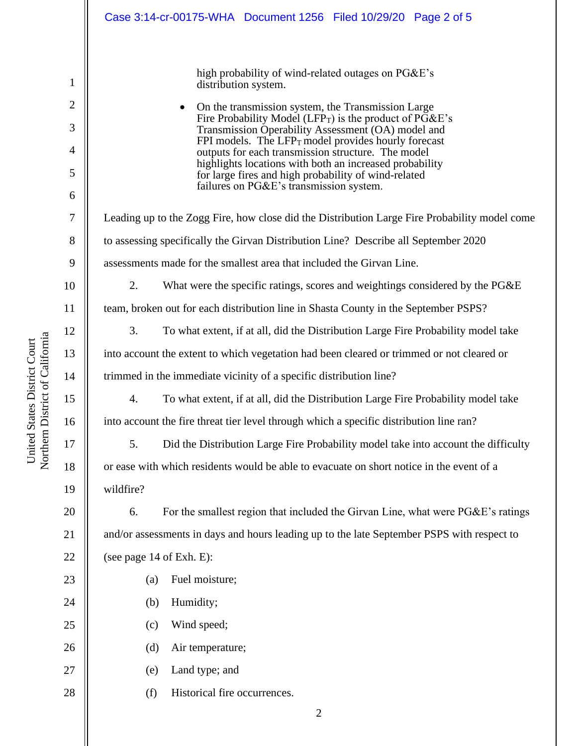|                     | Case 3:14-cr-00175-WHA  Document 1256  Filed 10/29/20  Page 2 of 5                                                        |  |  |  |
|---------------------|---------------------------------------------------------------------------------------------------------------------------|--|--|--|
|                     | high probability of wind-related outages on PG&E's                                                                        |  |  |  |
| 1                   | distribution system.                                                                                                      |  |  |  |
| $\overline{2}$      | On the transmission system, the Transmission Large<br>Fire Probability Model (LFP <sub>T</sub> ) is the product of PG&E's |  |  |  |
| 3<br>$\overline{4}$ | Transmission Operability Assessment (OA) model and<br>FPI models. The $LFP_T$ model provides hourly forecast              |  |  |  |
| 5                   | outputs for each transmission structure. The model<br>highlights locations with both an increased probability             |  |  |  |
| 6                   | for large fires and high probability of wind-related<br>failures on PG&E's transmission system.                           |  |  |  |
| 7                   | Leading up to the Zogg Fire, how close did the Distribution Large Fire Probability model come                             |  |  |  |
| 8                   | to assessing specifically the Girvan Distribution Line? Describe all September 2020                                       |  |  |  |
| 9                   | assessments made for the smallest area that included the Girvan Line.                                                     |  |  |  |
| 10                  | 2.<br>What were the specific ratings, scores and weightings considered by the PG&E                                        |  |  |  |
| 11                  | team, broken out for each distribution line in Shasta County in the September PSPS?                                       |  |  |  |
| 12                  | 3.<br>To what extent, if at all, did the Distribution Large Fire Probability model take                                   |  |  |  |
| 13                  | into account the extent to which vegetation had been cleared or trimmed or not cleared or                                 |  |  |  |
| 14                  | trimmed in the immediate vicinity of a specific distribution line?                                                        |  |  |  |
| 15                  | 4.<br>To what extent, if at all, did the Distribution Large Fire Probability model take                                   |  |  |  |
| 16                  | into account the fire threat tier level through which a specific distribution line ran?                                   |  |  |  |
| 17                  | Did the Distribution Large Fire Probability model take into account the difficulty<br>5.                                  |  |  |  |
| 18                  | or ease with which residents would be able to evacuate on short notice in the event of a                                  |  |  |  |
| 19                  | wildfire?                                                                                                                 |  |  |  |
| 20                  | 6.<br>For the smallest region that included the Girvan Line, what were PG&E's ratings                                     |  |  |  |
| 21                  | and/or assessments in days and hours leading up to the late September PSPS with respect to                                |  |  |  |
| 22                  | (see page 14 of Exh. E):                                                                                                  |  |  |  |
| 23                  | Fuel moisture;<br>(a)                                                                                                     |  |  |  |
| 24                  | Humidity;<br>(b)                                                                                                          |  |  |  |
| 25                  | Wind speed;<br>(c)                                                                                                        |  |  |  |
| 26                  | (d)<br>Air temperature;                                                                                                   |  |  |  |
| 27                  | Land type; and<br>(e)                                                                                                     |  |  |  |
| 28                  | Historical fire occurrences.<br>(f)                                                                                       |  |  |  |
|                     | ◠                                                                                                                         |  |  |  |

United States District Court<br>Northern District of California Northern District of California United States District Court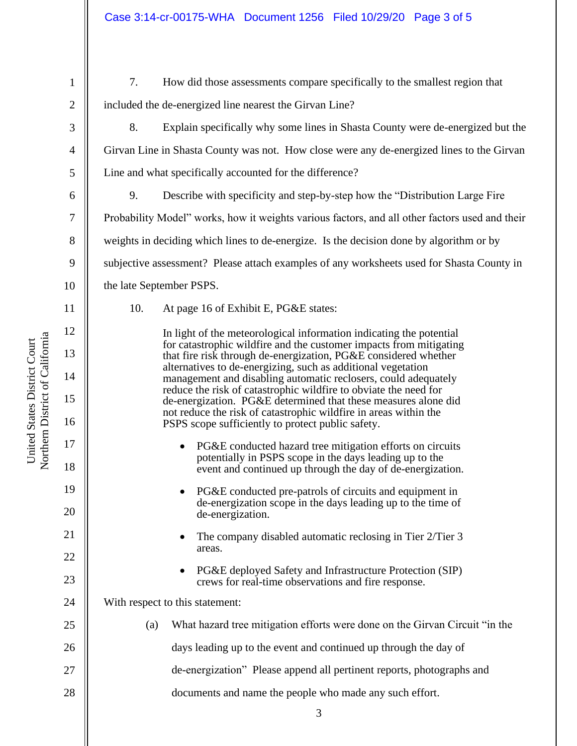1

2

3

4

5

6

7

8

9

10

11

12

13

14

15

16

17

18

19

20

21

22

23

24

7. How did those assessments compare specifically to the smallest region that included the de-energized line nearest the Girvan Line?

- 8. Explain specifically why some lines in Shasta County were de-energized but the Girvan Line in Shasta County was not. How close were any de-energized lines to the Girvan Line and what specifically accounted for the difference?
- 9. Describe with specificity and step-by-step how the "Distribution Large Fire Probability Model" works, how it weights various factors, and all other factors used and their weights in deciding which lines to de-energize. Is the decision done by algorithm or by subjective assessment? Please attach examples of any worksheets used for Shasta County in the late September PSPS.
	-
- 10. At page 16 of Exhibit E, PG&E states:

In light of the meteorological information indicating the potential for catastrophic wildfire and the customer impacts from mitigating that fire risk through de-energization, PG&E considered whether alternatives to de-energizing, such as additional vegetation management and disabling automatic reclosers, could adequately reduce the risk of catastrophic wildfire to obviate the need for de-energization. PG&E determined that these measures alone did not reduce the risk of catastrophic wildfire in areas within the PSPS scope sufficiently to protect public safety.

- PG&E conducted hazard tree mitigation efforts on circuits potentially in PSPS scope in the days leading up to the event and continued up through the day of de-energization.
- PG&E conducted pre-patrols of circuits and equipment in de-energization scope in the days leading up to the time of de-energization.
- The company disabled automatic reclosing in Tier 2/Tier 3 areas.
- PG&E deployed Safety and Infrastructure Protection (SIP) crews for real-time observations and fire response.
- With respect to this statement:

| 25 $\parallel$ | (a) | What hazard tree mitigation efforts were done on the Girvan Circuit "in the |
|----------------|-----|-----------------------------------------------------------------------------|
| 26             |     | days leading up to the event and continued up through the day of            |
| 27 $\parallel$ |     | de-energization" Please append all pertinent reports, photographs and       |
| 28             |     | documents and name the people who made any such effort.                     |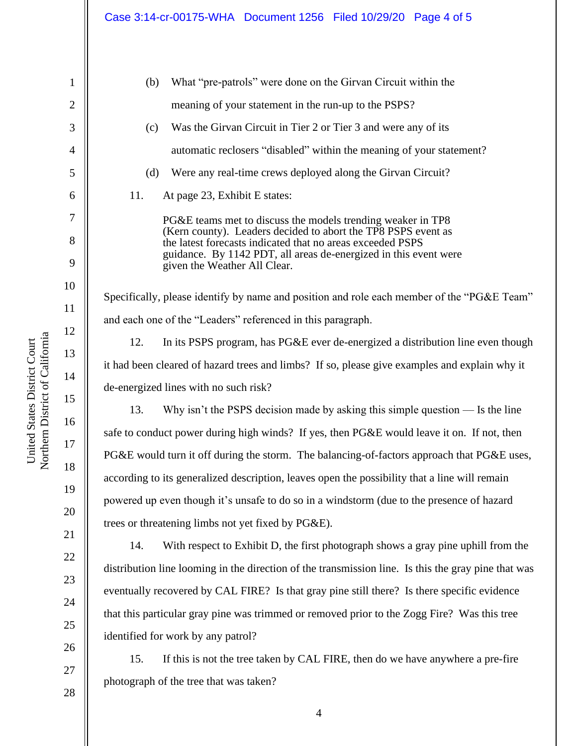| $\mathbf 1$     |
|-----------------|
|                 |
|                 |
| 4               |
| 5               |
| 6               |
| 7               |
| 8               |
| 9               |
| 10              |
| 11              |
| 12              |
| 13              |
| 14              |
| 15              |
| 16              |
| $\frac{17}{1}$  |
| 18              |
| 19              |
| 20              |
| $\overline{21}$ |
| $\overline{22}$ |
| 23              |

United States District Court Northern District of California

Northern District of California United States District Court

(b) What "pre-patrols" were done on the Girvan Circuit within the meaning of your statement in the run-up to the PSPS? (c) Was the Girvan Circuit in Tier 2 or Tier 3 and were any of its automatic reclosers "disabled" within the meaning of your statement? (d) Were any real-time crews deployed along the Girvan Circuit? 11. At page 23, Exhibit E states: PG&E teams met to discuss the models trending weaker in TP8 (Kern county). Leaders decided to abort the TP8 PSPS event as the latest forecasts indicated that no areas exceeded PSPS guidance. By 1142 PDT, all areas de-energized in this event were given the Weather All Clear. Specifically, please identify by name and position and role each member of the "PG&E Team" and each one of the "Leaders" referenced in this paragraph. 12. In its PSPS program, has PG&E ever de-energized a distribution line even though it had been cleared of hazard trees and limbs? If so, please give examples and explain why it de-energized lines with no such risk? 13. Why isn't the PSPS decision made by asking this simple question –– Is the line safe to conduct power during high winds? If yes, then PG&E would leave it on. If not, then PG&E would turn it off during the storm. The balancing-of-factors approach that PG&E uses, according to its generalized description, leaves open the possibility that a line will remain powered up even though it's unsafe to do so in a windstorm (due to the presence of hazard trees or threatening limbs not yet fixed by PG&E). 14. With respect to Exhibit D, the first photograph shows a gray pine uphill from the distribution line looming in the direction of the transmission line. Is this the gray pine that was eventually recovered by CAL FIRE? Is that gray pine still there? Is there specific evidence that this particular gray pine was trimmed or removed prior to the Zogg Fire? Was this tree identified for work by any patrol?

15. If this is not the tree taken by CAL FIRE, then do we have anywhere a pre-fire photograph of the tree that was taken?

28

24

25

26

27

4